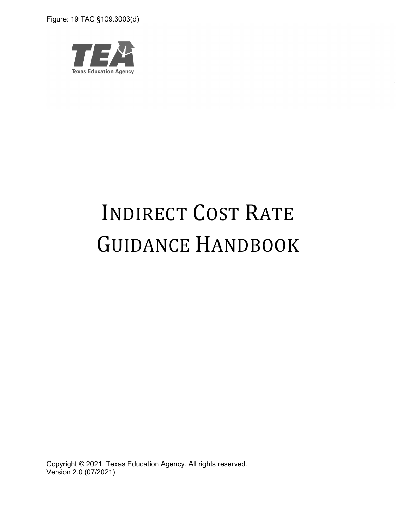Figure: 19 TAC §109.3003(d)



# INDIRECT COST RATE GUIDANCE HANDBOOK

Copyright © 2021. Texas Education Agency. All rights reserved. Version 2.0 (07/2021)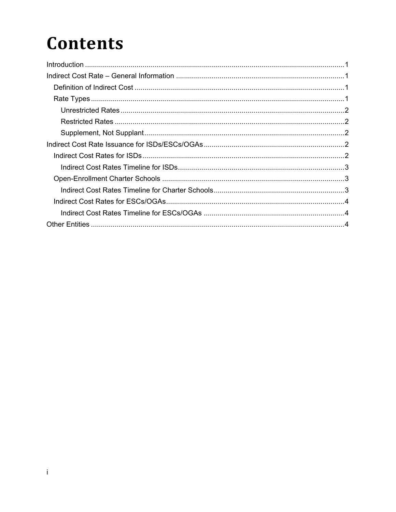### **Contents**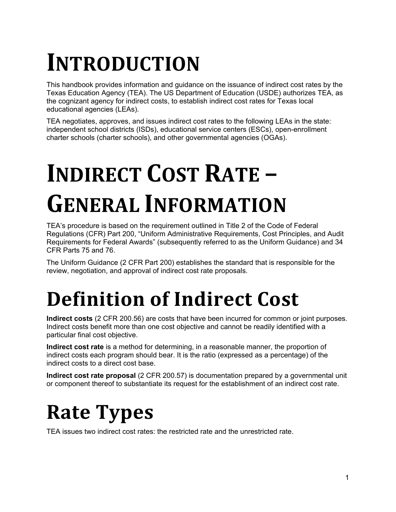## **INTRODUCTION**

This handbook provides information and guidance on the issuance of indirect cost rates by the Texas Education Agency (TEA). The US Department of Education (USDE) authorizes TEA, as the cognizant agency for indirect costs, to establish indirect cost rates for Texas local educational agencies (LEAs).

TEA negotiates, approves, and issues indirect cost rates to the following LEAs in the state: independent school districts (ISDs), educational service centers (ESCs), open-enrollment charter schools (charter schools), and other governmental agencies (OGAs).

# **INDIRECT COST RATE – GENERAL INFORMATION**

TEA's procedure is based on the requirement outlined in Title 2 of the Code of Federal Regulations (CFR) Part 200, "Uniform Administrative Requirements, Cost Principles, and Audit Requirements for Federal Awards" (subsequently referred to as the Uniform Guidance) and 34 CFR Parts 75 and 76.

The Uniform Guidance (2 CFR Part 200) establishes the standard that is responsible for the review, negotiation, and approval of indirect cost rate proposals.

## **Definition of Indirect Cost**

**Indirect costs** (2 CFR 200.56) are costs that have been incurred for common or joint purposes. Indirect costs benefit more than one cost objective and cannot be readily identified with a particular final cost objective.

**Indirect cost rate** is a method for determining, in a reasonable manner, the proportion of indirect costs each program should bear. It is the ratio (expressed as a percentage) of the indirect costs to a direct cost base.

**Indirect cost rate proposal** (2 CFR 200.57) is documentation prepared by a governmental unit or component thereof to substantiate its request for the establishment of an indirect cost rate.

## **Rate Types**

TEA issues two indirect cost rates: the restricted rate and the unrestricted rate.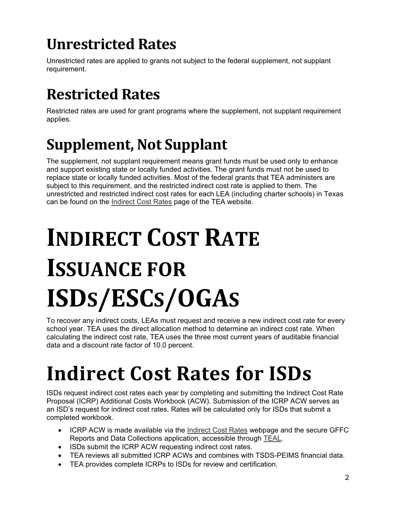### **Unrestricted Rates**

Unrestricted rates are applied to grants not subject to the federal supplement, not supplant requirement.

### **Restricted Rates**

Restricted rates are used for grant programs where the supplement, not supplant requirement applies.

### **Supplement, Not Supplant**

The supplement, not supplant requirement means grant funds must be used only to enhance and support existing state or locally funded activities. The grant funds must not be used to replace state or locally funded activities. Most of the federal grants that TEA administers are subject to this requirement, and the restricted indirect cost rate is applied to them. The unrestricted and restricted indirect cost rates for each LEA (including charter schools) in Texas can be found on the Indirect Cost Rates page of the TEA website.

# **INDIRECT COST RATE ISSUANCE FOR ISDS/ESCS/OGAS**

To recover any indirect costs, LEAs must request and receive a new indirect cost rate for every school year. TEA uses the direct allocation method to determine an indirect cost rate. When calculating the indirect cost rate, TEA uses the three most current years of auditable financial data and a discount rate factor of 10.0 percent.

## **Indirect Cost Rates for ISDs**

ISDs request indirect cost rates each year by completing and submitting the Indirect Cost Rate Proposal (ICRP) Additional Costs Workbook (ACW). Submission of the ICRP ACW serves as an ISD's request for indirect cost rates. Rates will be calculated only for ISDs that submit a completed workbook.

- ICRP ACW is made available via the Indirect Cost Rates webpage and the secure GFFC Reports and Data Collections application, accessible through TEAL.
- ISDs submit the ICRP ACW requesting indirect cost rates.
- TEA reviews all submitted ICRP ACWs and combines with TSDS-PEIMS financial data.
- TEA provides complete ICRPs to ISDs for review and certification.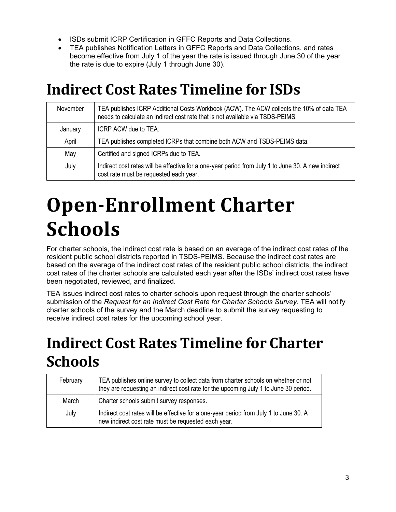- ISDs submit ICRP Certification in GFFC Reports and Data Collections.
- TEA publishes Notification Letters in GFFC Reports and Data Collections, and rates become effective from July 1 of the year the rate is issued through June 30 of the year the rate is due to expire (July 1 through June 30).

#### **Indirect Cost Rates Timeline for ISDs**

| November | TEA publishes ICRP Additional Costs Workbook (ACW). The ACW collects the 10% of data TEA<br>needs to calculate an indirect cost rate that is not available via TSDS-PEIMS. |
|----------|----------------------------------------------------------------------------------------------------------------------------------------------------------------------------|
| January  | ICRP ACW due to TEA.                                                                                                                                                       |
| April    | TEA publishes completed ICRPs that combine both ACW and TSDS-PEIMS data.                                                                                                   |
| May      | Certified and signed ICRPs due to TEA.                                                                                                                                     |
| July     | Indirect cost rates will be effective for a one-year period from July 1 to June 30. A new indirect<br>cost rate must be requested each year.                               |

## **Open-Enrollment Charter Schools**

For charter schools, the indirect cost rate is based on an average of the indirect cost rates of the resident public school districts reported in TSDS-PEIMS. Because the indirect cost rates are based on the average of the indirect cost rates of the resident public school districts, the indirect cost rates of the charter schools are calculated each year after the ISDs' indirect cost rates have been negotiated, reviewed, and finalized.

TEA issues indirect cost rates to charter schools upon request through the charter schools' submission of the *Request for an Indirect Cost Rate for Charter Schools Survey*. TEA will notify charter schools of the survey and the March deadline to submit the survey requesting to receive indirect cost rates for the upcoming school year.

### **Indirect Cost Rates Timeline for Charter Schools**

| February | TEA publishes online survey to collect data from charter schools on whether or not<br>they are requesting an indirect cost rate for the upcoming July 1 to June 30 period. |
|----------|----------------------------------------------------------------------------------------------------------------------------------------------------------------------------|
| March    | Charter schools submit survey responses.                                                                                                                                   |
| July     | Indirect cost rates will be effective for a one-year period from July 1 to June 30. A<br>new indirect cost rate must be requested each year.                               |